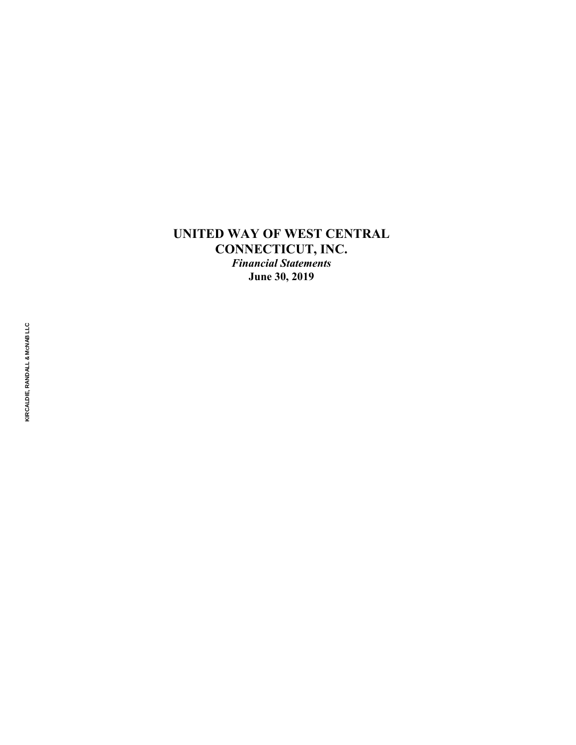# **UNITED WAY OF WEST CENTRAL CONNECTICUT, INC.** *Financial Statements* **June 30, 2019**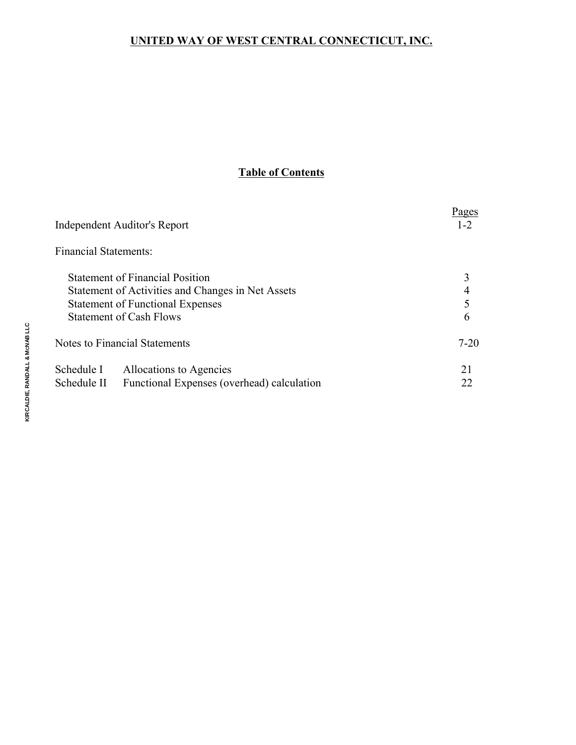# **UNITED WAY OF WEST CENTRAL CONNECTICUT, INC.**

# **Table of Contents**

| <b>Independent Auditor's Report</b> | <u>Pages</u><br>$1 - 2$                           |          |
|-------------------------------------|---------------------------------------------------|----------|
| <b>Financial Statements:</b>        |                                                   |          |
|                                     | <b>Statement of Financial Position</b>            |          |
|                                     | Statement of Activities and Changes in Net Assets | 4        |
|                                     | <b>Statement of Functional Expenses</b>           | 5        |
|                                     | <b>Statement of Cash Flows</b>                    | 6        |
|                                     | Notes to Financial Statements                     | $7 - 20$ |
| Schedule I                          | Allocations to Agencies                           | 21       |
| Schedule II                         | Functional Expenses (overhead) calculation        | 22       |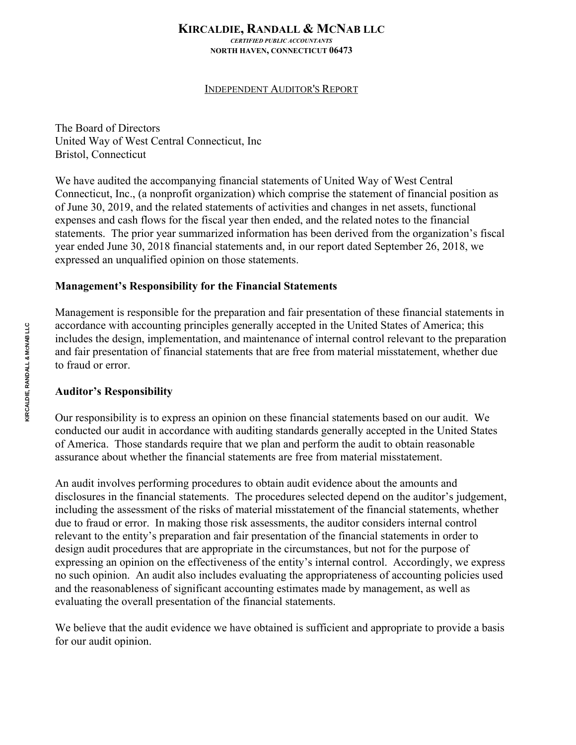# **KIRCALDIE, RANDALL & MCNAB LLC**

*CERTIFIED PUBLIC ACCOUNTANTS* **NORTH HAVEN, CONNECTICUT 06473**

#### INDEPENDENT AUDITOR'S REPORT

The Board of Directors United Way of West Central Connecticut, Inc Bristol, Connecticut

We have audited the accompanying financial statements of United Way of West Central Connecticut, Inc., (a nonprofit organization) which comprise the statement of financial position as of June 30, 2019, and the related statements of activities and changes in net assets, functional expenses and cash flows for the fiscal year then ended, and the related notes to the financial statements. The prior year summarized information has been derived from the organization's fiscal year ended June 30, 2018 financial statements and, in our report dated September 26, 2018, we expressed an unqualified opinion on those statements.

#### **Management's Responsibility for the Financial Statements**

Management is responsible for the preparation and fair presentation of these financial statements in accordance with accounting principles generally accepted in the United States of America; this includes the design, implementation, and maintenance of internal control relevant to the preparation and fair presentation of financial statements that are free from material misstatement, whether due to fraud or error.

#### **Auditor's Responsibility**

Our responsibility is to express an opinion on these financial statements based on our audit. We conducted our audit in accordance with auditing standards generally accepted in the United States of America. Those standards require that we plan and perform the audit to obtain reasonable assurance about whether the financial statements are free from material misstatement.

An audit involves performing procedures to obtain audit evidence about the amounts and disclosures in the financial statements. The procedures selected depend on the auditor's judgement, including the assessment of the risks of material misstatement of the financial statements, whether due to fraud or error. In making those risk assessments, the auditor considers internal control relevant to the entity's preparation and fair presentation of the financial statements in order to design audit procedures that are appropriate in the circumstances, but not for the purpose of expressing an opinion on the effectiveness of the entity's internal control. Accordingly, we express no such opinion. An audit also includes evaluating the appropriateness of accounting policies used and the reasonableness of significant accounting estimates made by management, as well as evaluating the overall presentation of the financial statements.

We believe that the audit evidence we have obtained is sufficient and appropriate to provide a basis for our audit opinion.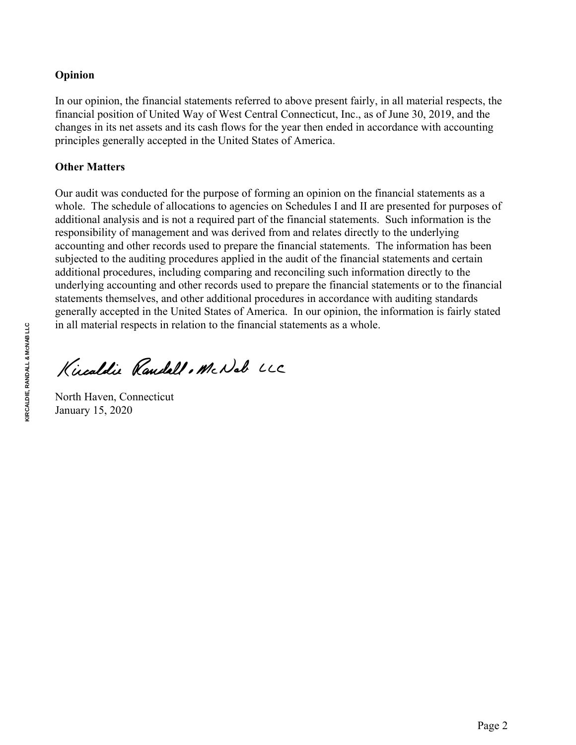## **Opinion**

In our opinion, the financial statements referred to above present fairly, in all material respects, the financial position of United Way of West Central Connecticut, Inc., as of June 30, 2019, and the changes in its net assets and its cash flows for the year then ended in accordance with accounting principles generally accepted in the United States of America.

## **Other Matters**

Our audit was conducted for the purpose of forming an opinion on the financial statements as a whole. The schedule of allocations to agencies on Schedules I and II are presented for purposes of additional analysis and is not a required part of the financial statements. Such information is the responsibility of management and was derived from and relates directly to the underlying accounting and other records used to prepare the financial statements. The information has been subjected to the auditing procedures applied in the audit of the financial statements and certain additional procedures, including comparing and reconciling such information directly to the underlying accounting and other records used to prepare the financial statements or to the financial statements themselves, and other additional procedures in accordance with auditing standards generally accepted in the United States of America. In our opinion, the information is fairly stated in all material respects in relation to the financial statements as a whole.

Kircaldie Rauchell, McNab LLC

North Haven, Connecticut January 15, 2020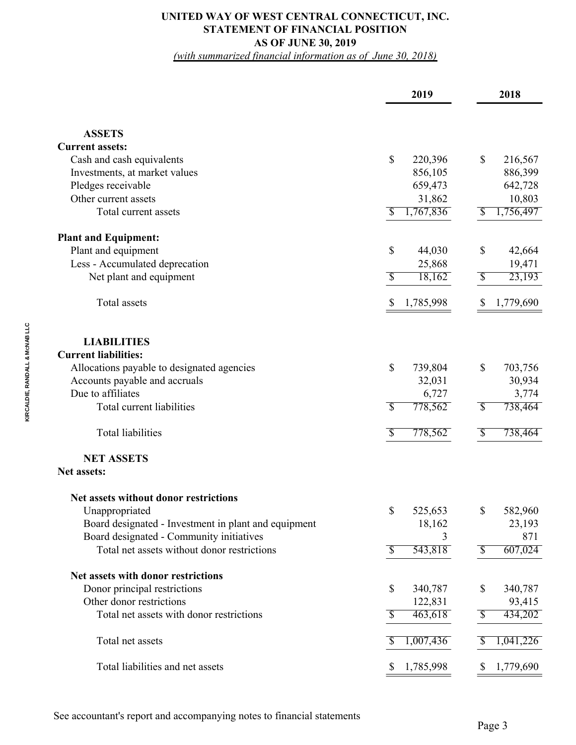# **UNITED WAY OF WEST CENTRAL CONNECTICUT, INC. STATEMENT OF FINANCIAL POSITION AS OF JUNE 30, 2019**

*(with summarized financial information as of June 30, 2018)*

|                                                      | 2019                                | 2018                                 |
|------------------------------------------------------|-------------------------------------|--------------------------------------|
|                                                      |                                     |                                      |
| <b>ASSETS</b>                                        |                                     |                                      |
| <b>Current assets:</b>                               |                                     |                                      |
| Cash and cash equivalents                            | \$<br>220,396                       | \$<br>216,567                        |
| Investments, at market values                        | 856,105                             | 886,399                              |
| Pledges receivable                                   | 659,473                             | 642,728                              |
| Other current assets                                 | 31,862                              | 10,803                               |
| Total current assets                                 | 1,767,836<br>S                      | 1,756,497<br>$\overline{\mathbb{S}}$ |
| <b>Plant and Equipment:</b>                          |                                     |                                      |
| Plant and equipment                                  | \$<br>44,030                        | \$<br>42,664                         |
| Less - Accumulated deprecation                       | 25,868                              | 19,471                               |
| Net plant and equipment                              | 18,162<br>$\overline{\mathcal{S}}$  | 23,193<br>$\overline{\mathcal{S}}$   |
| <b>Total assets</b>                                  | 1,785,998<br>S                      | 1,779,690<br>\$                      |
|                                                      |                                     |                                      |
| <b>LIABILITIES</b>                                   |                                     |                                      |
| <b>Current liabilities:</b>                          |                                     |                                      |
| Allocations payable to designated agencies           | \$<br>739,804                       | \$<br>703,756                        |
| Accounts payable and accruals                        | 32,031                              | 30,934                               |
| Due to affiliates                                    | 6,727                               | 3,774                                |
| Total current liabilities                            | $\overline{\mathcal{S}}$<br>778,562 | $\overline{\mathcal{S}}$<br>738,464  |
| <b>Total liabilities</b>                             | 778,562<br>$\overline{\mathcal{S}}$ | $\overline{\mathcal{S}}$<br>738,464  |
| <b>NET ASSETS</b>                                    |                                     |                                      |
| <b>Net assets:</b>                                   |                                     |                                      |
| Net assets without donor restrictions                |                                     |                                      |
| Unappropriated                                       | \$<br>525,653                       | \$<br>582,960                        |
| Board designated - Investment in plant and equipment | 18,162                              | 23,193                               |
| Board designated - Community initiatives             | 3                                   | 871                                  |
| Total net assets without donor restrictions          | 543,818<br>$\overline{\mathcal{S}}$ | 607,024<br>$\overline{\mathcal{S}}$  |
| Net assets with donor restrictions                   |                                     |                                      |
| Donor principal restrictions                         | \$<br>340,787                       | \$<br>340,787                        |
| Other donor restrictions                             | 122,831                             | 93,415                               |
| Total net assets with donor restrictions             | 463,618<br>$\overline{\mathcal{S}}$ | 434,202<br>$\overline{\mathbb{S}}$   |
| Total net assets                                     | 1,007,436                           | 1,041,226                            |
| Total liabilities and net assets                     | 1,785,998<br>\$                     | 1,779,690<br>\$                      |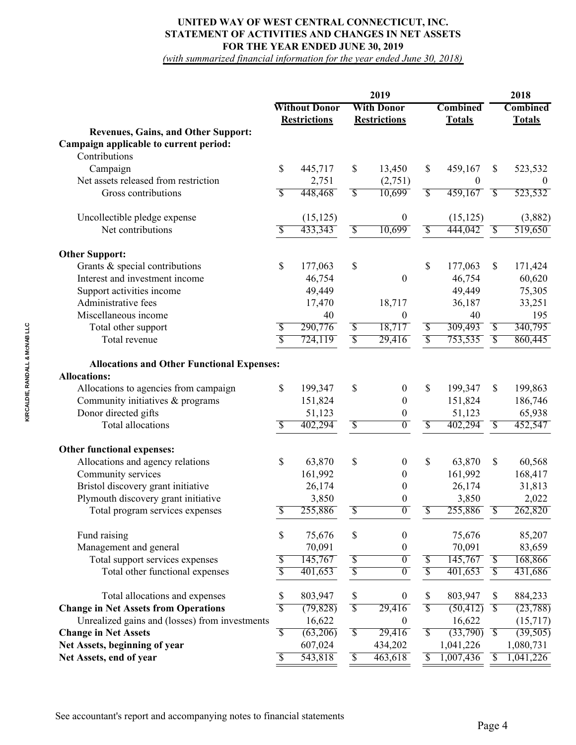#### **UNITED WAY OF WEST CENTRAL CONNECTICUT, INC. STATEMENT OF ACTIVITIES AND CHANGES IN NET ASSETS FOR THE YEAR ENDED JUNE 30, 2019**

*(with summarized financial information for the year ended June 30, 2018)*

|                                                   | 2019                     |                                           |                          |                     |                          |                                        |                          | 2018            |  |
|---------------------------------------------------|--------------------------|-------------------------------------------|--------------------------|---------------------|--------------------------|----------------------------------------|--------------------------|-----------------|--|
|                                                   |                          | <b>With Donor</b><br><b>Without Donor</b> |                          |                     |                          | <b>Combined</b>                        |                          | <b>Combined</b> |  |
|                                                   |                          | <b>Restrictions</b>                       |                          | <b>Restrictions</b> |                          | <b>Totals</b>                          |                          | <b>Totals</b>   |  |
| <b>Revenues, Gains, and Other Support:</b>        |                          |                                           |                          |                     |                          |                                        |                          |                 |  |
| Campaign applicable to current period:            |                          |                                           |                          |                     |                          |                                        |                          |                 |  |
| Contributions                                     |                          |                                           |                          |                     |                          |                                        |                          |                 |  |
| Campaign                                          | \$                       | 445,717                                   | \$                       | 13,450              | \$                       | 459,167                                | $\mathbb{S}$             | 523,532         |  |
| Net assets released from restriction              |                          | 2,751                                     |                          | (2,751)             |                          | $\mathbf{0}$                           |                          | $\overline{0}$  |  |
| Gross contributions                               | $\overline{\mathbb{S}}$  | 448,468                                   | $\overline{\mathbb{S}}$  | 10,699              | $\overline{\mathcal{S}}$ | 459,167                                | $\overline{\mathcal{S}}$ | 523,532         |  |
| Uncollectible pledge expense                      |                          | (15, 125)                                 |                          | $\boldsymbol{0}$    |                          | (15, 125)                              |                          | (3,882)         |  |
| Net contributions                                 | $\overline{\mathcal{S}}$ | 433,343                                   | $\overline{\mathcal{S}}$ | 10,699              | $\overline{\mathcal{S}}$ | 444,042                                | $\overline{\mathcal{S}}$ | 519,650         |  |
| <b>Other Support:</b>                             |                          |                                           |                          |                     |                          |                                        |                          |                 |  |
| Grants & special contributions                    | \$                       | 177,063                                   | \$                       |                     | \$                       | 177,063                                | \$                       | 171,424         |  |
| Interest and investment income                    |                          | 46,754                                    |                          | $\boldsymbol{0}$    |                          | 46,754                                 |                          | 60,620          |  |
| Support activities income                         |                          | 49,449                                    |                          |                     |                          | 49,449                                 |                          | 75,305          |  |
| Administrative fees                               |                          | 17,470                                    |                          | 18,717              |                          | 36,187                                 |                          | 33,251          |  |
| Miscellaneous income                              |                          | 40                                        |                          | $\boldsymbol{0}$    |                          | 40                                     |                          | 195             |  |
| Total other support                               | $\overline{\mathbb{S}}$  | 290,776                                   | $\overline{\mathcal{S}}$ | 18,717              | $\overline{\mathcal{S}}$ | 309,493                                | $\overline{\mathcal{S}}$ | 340,795         |  |
| Total revenue                                     | S                        | 724,119                                   | $\overline{\mathcal{S}}$ | 29,416              | $\overline{\mathcal{S}}$ | 753,535                                | $\overline{\mathcal{S}}$ | 860,445         |  |
| <b>Allocations and Other Functional Expenses:</b> |                          |                                           |                          |                     |                          |                                        |                          |                 |  |
| <b>Allocations:</b>                               |                          |                                           |                          |                     |                          |                                        |                          |                 |  |
| Allocations to agencies from campaign             | \$                       | 199,347                                   | \$                       | $\theta$            | \$                       | 199,347                                | $\mathbb{S}$             | 199,863         |  |
| Community initiatives & programs                  |                          | 151,824                                   |                          | 0                   |                          | 151,824                                |                          | 186,746         |  |
| Donor directed gifts                              |                          | 51,123                                    |                          | $\boldsymbol{0}$    |                          | 51,123                                 |                          | 65,938          |  |
| Total allocations                                 | \$                       | 402,294                                   | $\overline{\mathbb{S}}$  | $\overline{0}$      | $\overline{\mathbb{S}}$  | 402,294                                | $\overline{\mathcal{S}}$ | 452,547         |  |
| Other functional expenses:                        |                          |                                           |                          |                     |                          |                                        |                          |                 |  |
| Allocations and agency relations                  | \$                       | 63,870                                    | \$                       | $\theta$            | \$                       | 63,870                                 | $\mathbb{S}$             | 60,568          |  |
| Community services                                |                          | 161,992                                   |                          | $\theta$            |                          | 161,992                                |                          | 168,417         |  |
| Bristol discovery grant initiative                |                          | 26,174                                    |                          | $\boldsymbol{0}$    |                          | 26,174                                 |                          | 31,813          |  |
| Plymouth discovery grant initiative               |                          | 3,850                                     |                          | $\boldsymbol{0}$    |                          | 3,850                                  |                          | 2,022           |  |
| Total program services expenses                   | $\overline{\mathbb{S}}$  | 255,886                                   | $\overline{\mathbb{S}}$  | $\overline{0}$      | $\overline{\mathbb{S}}$  | $\overline{255,886}$ \ $\overline{\$}$ |                          | 262,820         |  |
| Fund raising                                      | \$                       | 75,676                                    | \$                       | $\boldsymbol{0}$    |                          | 75,676                                 |                          | 85,207          |  |
| Management and general                            |                          | 70,091                                    |                          | $\boldsymbol{0}$    |                          | 70,091                                 |                          | 83,659          |  |
| Total support services expenses                   | $\overline{\mathcal{S}}$ | 145,767                                   | $\overline{\$}$          | $\overline{0}$      | $\overline{\mathcal{S}}$ | 145,767                                | $\overline{\mathcal{S}}$ | 168,866         |  |
| Total other functional expenses                   | \$                       | 401,653                                   | $\overline{\mathcal{S}}$ | $\overline{0}$      | $\overline{\mathbb{S}}$  | 401,653                                | $\mathcal{S}$            | 431,686         |  |
| Total allocations and expenses                    | \$                       | 803,947                                   | \$                       | $\boldsymbol{0}$    | \$                       | 803,947                                | \$                       | 884,233         |  |
| <b>Change in Net Assets from Operations</b>       | $\overline{\mathbb{S}}$  | (79, 828)                                 | $\overline{\mathcal{S}}$ | 29,416              | $\overline{\mathcal{S}}$ | (50, 412)                              | $\overline{\mathcal{S}}$ | (23, 788)       |  |
| Unrealized gains and (losses) from investments    |                          | 16,622                                    |                          | 0                   |                          | 16,622                                 |                          | (15,717)        |  |
| <b>Change in Net Assets</b>                       | $\mathcal{S}$            | $\overline{(63,206)}$                     | $\overline{\mathcal{S}}$ | 29,416              | $\sqrt{\frac{2}{\pi}}$   | $\overline{(33,790)}$ \$               |                          | (39, 505)       |  |
| Net Assets, beginning of year                     |                          | 607,024                                   |                          | 434,202             |                          | 1,041,226                              |                          | 1,080,731       |  |
| Net Assets, end of year                           | $\overline{\mathbb{S}}$  | 543,818                                   | $\overline{\mathbb{S}}$  | 463,618             | \$                       | 1,007,436                              | $\overline{\mathbb{S}}$  | 1,041,226       |  |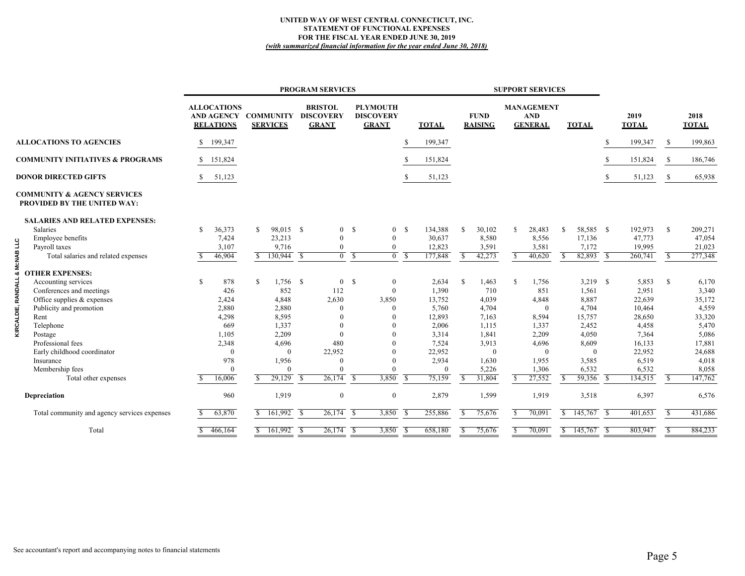#### **UNITED WAY OF WEST CENTRAL CONNECTICUT, INC. STATEMENT OF FUNCTIONAL EXPENSES FOR THE FISCAL YEAR ENDED JUNE 30, 2019** *(with summarized financial information for the year ended June 30, 2018)*

|                                                                       |              | <b>PROGRAM SERVICES</b>                                     |                         |                                     |                          |                                                    |              |                                                     |                         | <b>SUPPORT SERVICES</b> |                          |                               |                          |                                                   |                |                                     |                         |                      |                          |                      |
|-----------------------------------------------------------------------|--------------|-------------------------------------------------------------|-------------------------|-------------------------------------|--------------------------|----------------------------------------------------|--------------|-----------------------------------------------------|-------------------------|-------------------------|--------------------------|-------------------------------|--------------------------|---------------------------------------------------|----------------|-------------------------------------|-------------------------|----------------------|--------------------------|----------------------|
|                                                                       |              | <b>ALLOCATIONS</b><br><b>AND AGENCY</b><br><b>RELATIONS</b> |                         | <b>COMMUNITY</b><br><b>SERVICES</b> |                          | <b>BRISTOL</b><br><b>DISCOVERY</b><br><b>GRANT</b> |              | <b>PLYMOUTH</b><br><b>DISCOVERY</b><br><b>GRANT</b> |                         | <b>TOTAL</b>            |                          | <b>FUND</b><br><b>RAISING</b> |                          | <b>MANAGEMENT</b><br><b>AND</b><br><b>GENERAL</b> |                | <b>TOTAL</b>                        |                         | 2019<br><b>TOTAL</b> |                          | 2018<br><b>TOTAL</b> |
| <b>ALLOCATIONS TO AGENCIES</b>                                        | S            | 199,347                                                     |                         |                                     |                          |                                                    |              |                                                     | S                       | 199,347                 |                          |                               |                          |                                                   |                |                                     | \$                      | 199,347              | <sup>\$</sup>            | 199,863              |
| <b>COMMUNITY INITIATIVES &amp; PROGRAMS</b>                           | -S           | 151,824                                                     |                         |                                     |                          |                                                    |              |                                                     |                         | 151,824                 |                          |                               |                          |                                                   |                |                                     | \$                      | 151,824              | -S                       | 186,746              |
| <b>DONOR DIRECTED GIFTS</b>                                           | S            | 51,123                                                      |                         |                                     |                          |                                                    |              |                                                     | £.                      | 51,123                  |                          |                               |                          |                                                   |                |                                     | S.                      | 51,123               | <sup>S</sup>             | 65,938               |
| <b>COMMUNITY &amp; AGENCY SERVICES</b><br>PROVIDED BY THE UNITED WAY: |              |                                                             |                         |                                     |                          |                                                    |              |                                                     |                         |                         |                          |                               |                          |                                                   |                |                                     |                         |                      |                          |                      |
| <b>SALARIES AND RELATED EXPENSES:</b>                                 |              |                                                             |                         |                                     |                          |                                                    |              |                                                     |                         |                         |                          |                               |                          |                                                   |                |                                     |                         |                      |                          |                      |
| <b>Salaries</b>                                                       | $\mathbf{s}$ | 36,373                                                      | S                       | 98,015 \$                           |                          | $\overline{0}$                                     | <sup>S</sup> | $\overline{0}$                                      | S                       | 134,388                 | -S                       | 30,102                        | -S                       | 28,483                                            |                | 58,585 \$                           |                         | 192,973              | $\mathbf S$              | 209,271              |
| Employee benefits                                                     |              | 7,424                                                       |                         | 23,213                              |                          | $\Omega$                                           |              | $\overline{0}$                                      |                         | 30,637                  |                          | 8,580                         |                          | 8,556                                             |                | 17,136                              |                         | 47,773               |                          | 47,054               |
| Payroll taxes                                                         |              | 3,107                                                       |                         | 9,716                               |                          | $\theta$                                           |              | $\mathbf{0}$                                        |                         | 12,823                  |                          | 3,591                         |                          | 3,581                                             |                | 7,172                               |                         | 19.995               |                          | 21,023               |
| Total salaries and related expenses                                   | -S           | 46,904                                                      | $\overline{\mathbb{S}}$ | $\frac{130,944}{s}$                 |                          | $\overline{0}$ $\overline{s}$                      |              | $\overline{0}$                                      | $\overline{s}$          | 177,848                 | $\overline{\mathcal{S}}$ | 42,273                        | $\mathbf{S}$             | 40,620                                            | S              | $82,893$ $\overline{\$}$            |                         | 260,741              | $\overline{\mathcal{S}}$ | 277,348              |
| <b>OTHER EXPENSES:</b>                                                |              |                                                             |                         |                                     |                          |                                                    |              |                                                     |                         |                         |                          |                               |                          |                                                   |                |                                     |                         |                      |                          |                      |
| Accounting services                                                   | <sup>S</sup> | 878                                                         | $\mathbf{s}$            | $1,756$ \$                          |                          | 0 S                                                |              | $\boldsymbol{0}$                                    |                         | 2,634                   | <sup>\$</sup>            | 1,463                         | $\mathcal{F}$            | 1,756                                             |                | $3,219$ \$                          |                         | 5,853                | -S                       | 6,170                |
| Conferences and meetings                                              |              | 426                                                         |                         | 852                                 |                          | 112                                                |              | $\theta$                                            |                         | 1,390                   |                          | 710                           |                          | 851                                               |                | 1,561                               |                         | 2,951                |                          | 3,340                |
| Office supplies $&$ expenses                                          |              | 2,424                                                       |                         | 4,848                               |                          | 2,630                                              |              | 3,850                                               |                         | 13,752                  |                          | 4,039                         |                          | 4,848                                             |                | 8,887                               |                         | 22,639               |                          | 35,172               |
| Publicity and promotion                                               |              | 2,880                                                       |                         | 2,880                               |                          | $\Omega$                                           |              | $\Omega$                                            |                         | 5,760                   |                          | 4,704                         |                          | $\theta$                                          |                | 4,704                               |                         | 10,464               |                          | 4,559                |
| Rent                                                                  |              | 4,298                                                       |                         | 8,595                               |                          | $\Omega$                                           |              | $\Omega$                                            |                         | 12,893                  |                          | 7,163                         |                          | 8,594                                             |                | 15,757                              |                         | 28,650               |                          | 33,320               |
| Telephone                                                             |              | 669                                                         |                         | 1,337                               |                          | $\Omega$                                           |              | 0                                                   |                         | 2,006                   |                          | 1,115                         |                          | 1,337                                             |                | 2,452                               |                         | 4,458                |                          | 5,470                |
| Postage                                                               |              | 1,105                                                       |                         | 2,209                               |                          | $\Omega$                                           |              | $\Omega$                                            |                         | 3,314                   |                          | 1,841                         |                          | 2,209                                             |                | 4,050                               |                         | 7,364                |                          | 5,086                |
| Professional fees                                                     |              | 2,348                                                       |                         | 4,696                               |                          | 480                                                |              | $\theta$                                            |                         | 7,524                   |                          | 3,913                         |                          | 4,696                                             |                | 8,609                               |                         | 16,133               |                          | 17,881               |
| Early childhood coordinator                                           |              | $\mathbf{0}$                                                |                         | $\Omega$                            |                          | 22,952                                             |              | $\mathbf{0}$                                        |                         | 22,952                  |                          | $\overline{0}$                |                          | $\mathbf{0}$                                      |                | $\theta$                            |                         | 22,952               |                          | 24,688               |
| Insurance                                                             |              | 978                                                         |                         | 1,956                               |                          | $\Omega$                                           |              | $\theta$                                            |                         | 2,934                   |                          | 1,630                         |                          | 1,955                                             |                | 3,585                               |                         | 6,519                |                          | 4,018                |
| Membership fees                                                       |              | $\Omega$                                                    |                         | $\Omega$                            |                          |                                                    |              | $\Omega$                                            |                         | $\Omega$                |                          | 5,226                         |                          | 1,306                                             |                | 6,532                               |                         | 6,532                |                          | 8,058                |
| Total other expenses                                                  | -8           | 16,006                                                      | $\overline{\mathbf{s}}$ | 29,129                              | $\overline{\mathcal{S}}$ | $\sqrt{26,174}$ \ $\sqrt{\frac{1}{15}}$            |              | 3,850                                               | $\overline{\mathbf{s}}$ | 75,159                  | $\overline{\mathcal{S}}$ | 31,804                        | $\overline{\mathcal{S}}$ | 27,552                                            | $\overline{s}$ | $\overline{59,356}$ $\overline{\$}$ |                         | 134,515              | $\overline{\mathbf{s}}$  | 147,762              |
| Depreciation                                                          |              | 960                                                         |                         | 1,919                               |                          | $\mathbf{0}$                                       |              | $\boldsymbol{0}$                                    |                         | 2,879                   |                          | 1,599                         |                          | 1,919                                             |                | 3,518                               |                         | 6,397                |                          | 6,576                |
| Total community and agency services expenses                          | -S           | 63,870                                                      | S.                      | $\frac{161,992}{s}$                 |                          | $\sqrt{26,174}$ $\sqrt{s}$                         |              | 3,850                                               | - S                     | 255,886                 | -8                       | 75,676                        |                          | 70,091                                            | S.             | 145,767                             | $\overline{\mathbf{s}}$ | 401,653              | $\overline{s}$           | 431,686              |
| Total                                                                 | -S           | 466,164                                                     | S.                      | $\frac{161,992}{s}$                 |                          | 26,174                                             | $\mathbf{s}$ | 3,850                                               | <sup>S</sup>            | 658,180                 | S                        | 75,676                        |                          | 70,091                                            | S.             | 145,767                             | -S                      | 803,947              | -S                       | 884,233              |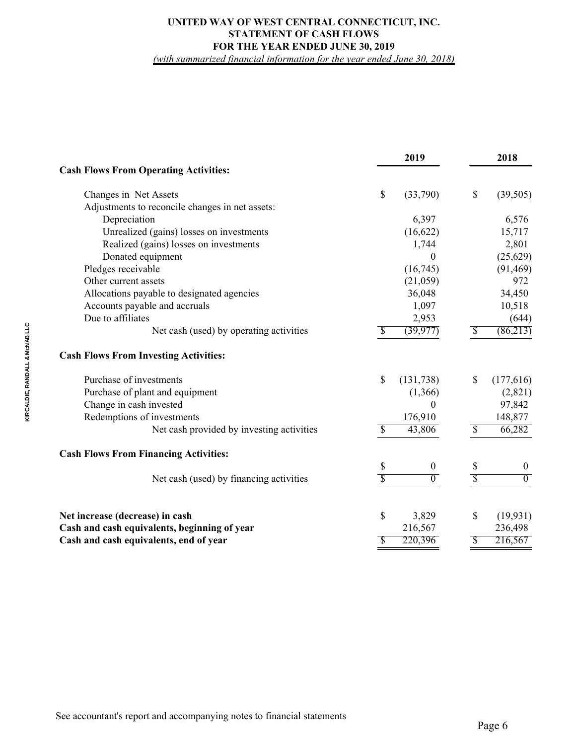#### **UNITED WAY OF WEST CENTRAL CONNECTICUT, INC. STATEMENT OF CASH FLOWS FOR THE YEAR ENDED JUNE 30, 2019** *(with summarized financial information for the year ended June 30, 2018)*

|                                                 | 2019                                  | 2018                                      |
|-------------------------------------------------|---------------------------------------|-------------------------------------------|
| <b>Cash Flows From Operating Activities:</b>    |                                       |                                           |
| Changes in Net Assets                           | \$<br>(33,790)                        | \$<br>(39, 505)                           |
| Adjustments to reconcile changes in net assets: |                                       |                                           |
| Depreciation                                    | 6,397                                 | 6,576                                     |
| Unrealized (gains) losses on investments        | (16,622)                              | 15,717                                    |
| Realized (gains) losses on investments          | 1,744                                 | 2,801                                     |
| Donated equipment                               | $\theta$                              | (25, 629)                                 |
| Pledges receivable                              | (16,745)                              | (91, 469)                                 |
| Other current assets                            | (21,059)                              | 972                                       |
| Allocations payable to designated agencies      | 36,048                                | 34,450                                    |
| Accounts payable and accruals                   | 1,097                                 | 10,518                                    |
| Due to affiliates                               | 2,953                                 | (644)                                     |
| Net cash (used) by operating activities         | $\overline{\mathcal{S}}$<br>(39, 977) | (86,213)<br>$\mathcal{S}$                 |
| <b>Cash Flows From Investing Activities:</b>    |                                       |                                           |
| Purchase of investments                         | \$<br>(131, 738)                      | \$<br>(177, 616)                          |
| Purchase of plant and equipment                 | (1,366)                               | (2,821)                                   |
| Change in cash invested                         | $\boldsymbol{0}$                      | 97,842                                    |
| Redemptions of investments                      | 176,910                               | 148,877                                   |
| Net cash provided by investing activities       | 43,806<br>$\overline{\mathcal{S}}$    | 66,282<br>$\overline{\mathbb{S}}$         |
| <b>Cash Flows From Financing Activities:</b>    |                                       |                                           |
|                                                 | \$<br>$\boldsymbol{0}$                | \$<br>$\boldsymbol{0}$                    |
| Net cash (used) by financing activities         | $\overline{\$}$<br>$\overline{0}$     | $\overline{\mathbb{S}}$<br>$\overline{0}$ |
| Net increase (decrease) in cash                 | \$<br>3,829                           | \$<br>(19, 931)                           |
| Cash and cash equivalents, beginning of year    | 216,567                               | 236,498                                   |
| Cash and cash equivalents, end of year          | \$<br>220,396                         | 216,567<br>$\mathcal{S}$                  |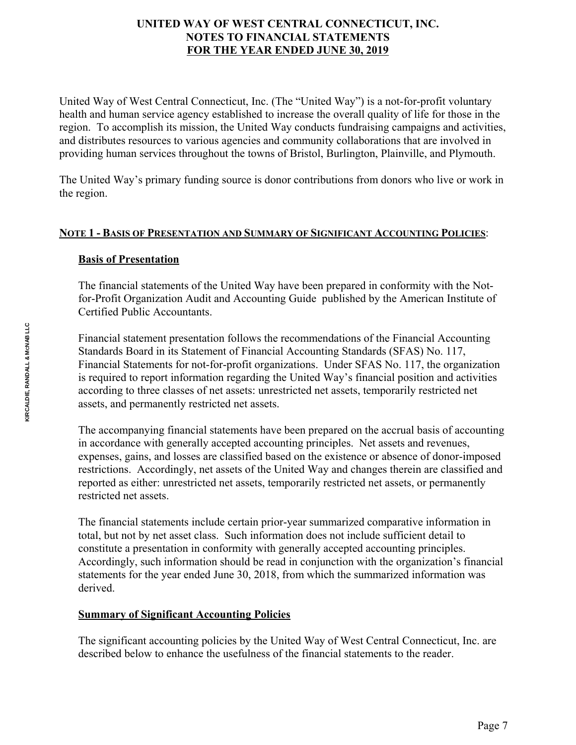United Way of West Central Connecticut, Inc. (The "United Way") is a not-for-profit voluntary health and human service agency established to increase the overall quality of life for those in the region. To accomplish its mission, the United Way conducts fundraising campaigns and activities, and distributes resources to various agencies and community collaborations that are involved in providing human services throughout the towns of Bristol, Burlington, Plainville, and Plymouth.

The United Way's primary funding source is donor contributions from donors who live or work in the region.

#### **NOTE 1 - BASIS OF PRESENTATION AND SUMMARY OF SIGNIFICANT ACCOUNTING POLICIES**:

#### **Basis of Presentation**

The financial statements of the United Way have been prepared in conformity with the Notfor-Profit Organization Audit and Accounting Guide published by the American Institute of Certified Public Accountants.

Financial statement presentation follows the recommendations of the Financial Accounting Standards Board in its Statement of Financial Accounting Standards (SFAS) No. 117, Financial Statements for not-for-profit organizations. Under SFAS No. 117, the organization is required to report information regarding the United Way's financial position and activities according to three classes of net assets: unrestricted net assets, temporarily restricted net assets, and permanently restricted net assets.

The accompanying financial statements have been prepared on the accrual basis of accounting in accordance with generally accepted accounting principles. Net assets and revenues, expenses, gains, and losses are classified based on the existence or absence of donor-imposed restrictions. Accordingly, net assets of the United Way and changes therein are classified and reported as either: unrestricted net assets, temporarily restricted net assets, or permanently restricted net assets.

The financial statements include certain prior-year summarized comparative information in total, but not by net asset class. Such information does not include sufficient detail to constitute a presentation in conformity with generally accepted accounting principles. Accordingly, such information should be read in conjunction with the organization's financial statements for the year ended June 30, 2018, from which the summarized information was derived.

#### **Summary of Significant Accounting Policies**

The significant accounting policies by the United Way of West Central Connecticut, Inc. are described below to enhance the usefulness of the financial statements to the reader.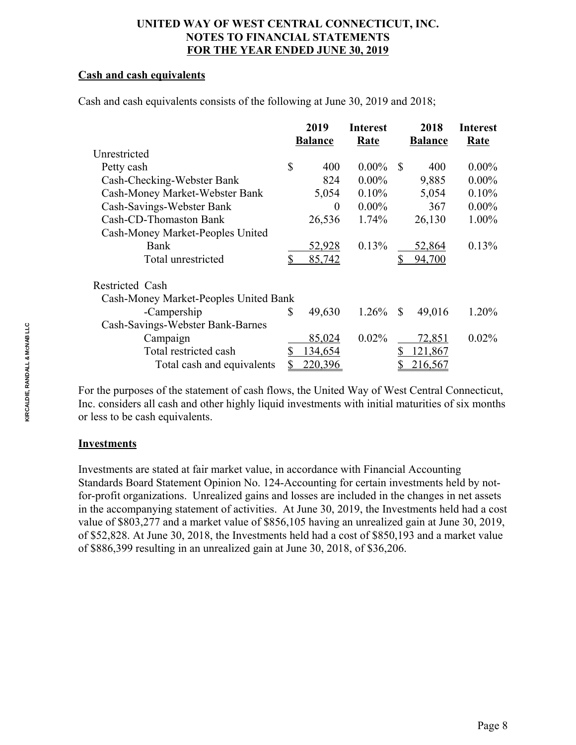#### **Cash and cash equivalents**

Cash and cash equivalents consists of the following at June 30, 2019 and 2018;

|                                       | 2019 |                | Interest    |               | 2018           | <b>Interest</b> |
|---------------------------------------|------|----------------|-------------|---------------|----------------|-----------------|
|                                       |      | <b>Balance</b> | <b>Rate</b> |               | <b>Balance</b> | <b>Rate</b>     |
| Unrestricted                          |      |                |             |               |                |                 |
| Petty cash                            | \$   | 400            | $0.00\%$    | <sup>\$</sup> | 400            | $0.00\%$        |
| Cash-Checking-Webster Bank            |      | 824            | $0.00\%$    |               | 9,885          | $0.00\%$        |
| Cash-Money Market-Webster Bank        |      | 5,054          | 0.10%       |               | 5,054          | $0.10\%$        |
| Cash-Savings-Webster Bank             |      | $\theta$       | $0.00\%$    |               | 367            | $0.00\%$        |
| Cash-CD-Thomaston Bank                |      | 26,536         | 1.74%       |               | 26,130         | 1.00%           |
| Cash-Money Market-Peoples United      |      |                |             |               |                |                 |
| Bank                                  |      | 52,928         | 0.13%       |               | 52,864         | 0.13%           |
| Total unrestricted                    | \$   | 85,742         |             | \$            | 94,700         |                 |
| Restricted Cash                       |      |                |             |               |                |                 |
| Cash-Money Market-Peoples United Bank |      |                |             |               |                |                 |
| -Campership                           | \$   | 49,630         | 1.26%       | $\mathbb{S}$  | 49,016         | 1.20%           |
| Cash-Savings-Webster Bank-Barnes      |      |                |             |               |                |                 |
| Campaign                              |      | 85,024         | $0.02\%$    |               | 72,851         | 0.02%           |
| Total restricted cash                 | \$   | 134,654        |             | \$            | 121,867        |                 |
| Total cash and equivalents            | \$   | 220,396        |             | \$            | 216,567        |                 |

For the purposes of the statement of cash flows, the United Way of West Central Connecticut, Inc. considers all cash and other highly liquid investments with initial maturities of six months or less to be cash equivalents.

#### **Investments**

Investments are stated at fair market value, in accordance with Financial Accounting Standards Board Statement Opinion No. 124-Accounting for certain investments held by notfor-profit organizations. Unrealized gains and losses are included in the changes in net assets in the accompanying statement of activities. At June 30, 2019, the Investments held had a cost value of \$803,277 and a market value of \$856,105 having an unrealized gain at June 30, 2019, of \$52,828. At June 30, 2018, the Investments held had a cost of \$850,193 and a market value of \$886,399 resulting in an unrealized gain at June 30, 2018, of \$36,206.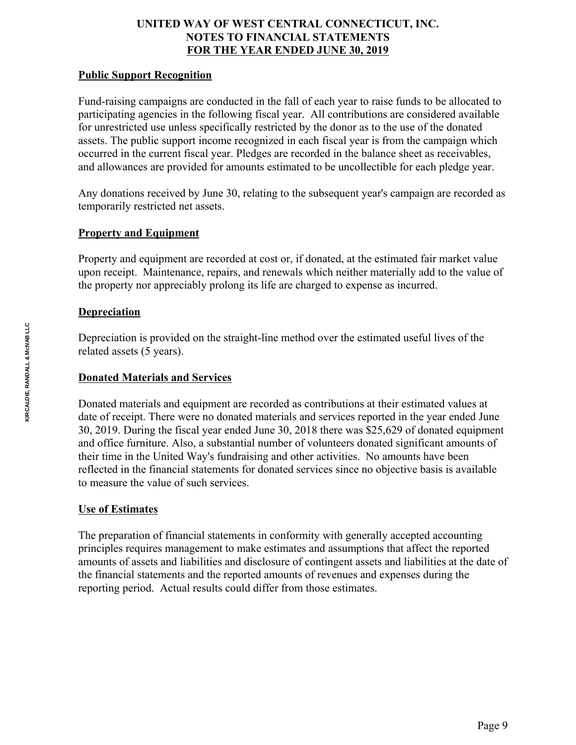#### **Public Support Recognition**

Fund-raising campaigns are conducted in the fall of each year to raise funds to be allocated to participating agencies in the following fiscal year. All contributions are considered available for unrestricted use unless specifically restricted by the donor as to the use of the donated assets. The public support income recognized in each fiscal year is from the campaign which occurred in the current fiscal year. Pledges are recorded in the balance sheet as receivables, and allowances are provided for amounts estimated to be uncollectible for each pledge year.

Any donations received by June 30, relating to the subsequent year's campaign are recorded as temporarily restricted net assets.

#### **Property and Equipment**

Property and equipment are recorded at cost or, if donated, at the estimated fair market value upon receipt. Maintenance, repairs, and renewals which neither materially add to the value of the property nor appreciably prolong its life are charged to expense as incurred.

#### **Depreciation**

Depreciation is provided on the straight-line method over the estimated useful lives of the related assets (5 years).

#### **Donated Materials and Services**

Donated materials and equipment are recorded as contributions at their estimated values at date of receipt. There were no donated materials and services reported in the year ended June 30, 2019. During the fiscal year ended June 30, 2018 there was \$25,629 of donated equipment and office furniture. Also, a substantial number of volunteers donated significant amounts of their time in the United Way's fundraising and other activities. No amounts have been reflected in the financial statements for donated services since no objective basis is available to measure the value of such services.

# **Use of Estimates**

The preparation of financial statements in conformity with generally accepted accounting principles requires management to make estimates and assumptions that affect the reported amounts of assets and liabilities and disclosure of contingent assets and liabilities at the date of the financial statements and the reported amounts of revenues and expenses during the reporting period. Actual results could differ from those estimates.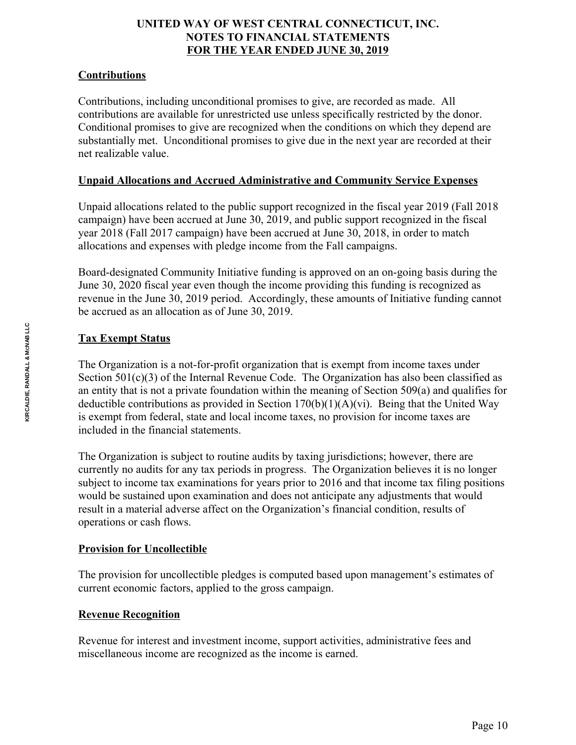# **Contributions**

Contributions, including unconditional promises to give, are recorded as made. All contributions are available for unrestricted use unless specifically restricted by the donor. Conditional promises to give are recognized when the conditions on which they depend are substantially met. Unconditional promises to give due in the next year are recorded at their net realizable value.

#### **Unpaid Allocations and Accrued Administrative and Community Service Expenses**

Unpaid allocations related to the public support recognized in the fiscal year 2019 (Fall 2018 campaign) have been accrued at June 30, 2019, and public support recognized in the fiscal year 2018 (Fall 2017 campaign) have been accrued at June 30, 2018, in order to match allocations and expenses with pledge income from the Fall campaigns.

Board-designated Community Initiative funding is approved on an on-going basis during the June 30, 2020 fiscal year even though the income providing this funding is recognized as revenue in the June 30, 2019 period. Accordingly, these amounts of Initiative funding cannot be accrued as an allocation as of June 30, 2019.

# **Tax Exempt Status**

The Organization is a not-for-profit organization that is exempt from income taxes under Section 501(c)(3) of the Internal Revenue Code. The Organization has also been classified as an entity that is not a private foundation within the meaning of Section 509(a) and qualifies for deductible contributions as provided in Section  $170(b)(1)(A)(vi)$ . Being that the United Way is exempt from federal, state and local income taxes, no provision for income taxes are included in the financial statements.

The Organization is subject to routine audits by taxing jurisdictions; however, there are currently no audits for any tax periods in progress. The Organization believes it is no longer subject to income tax examinations for years prior to 2016 and that income tax filing positions would be sustained upon examination and does not anticipate any adjustments that would result in a material adverse affect on the Organization's financial condition, results of operations or cash flows.

#### **Provision for Uncollectible**

The provision for uncollectible pledges is computed based upon management's estimates of current economic factors, applied to the gross campaign.

# **Revenue Recognition**

Revenue for interest and investment income, support activities, administrative fees and miscellaneous income are recognized as the income is earned.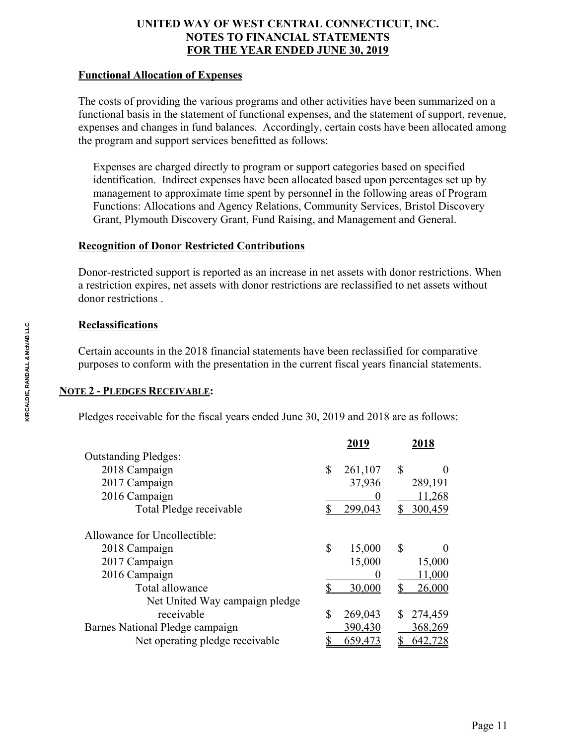#### **Functional Allocation of Expenses**

The costs of providing the various programs and other activities have been summarized on a functional basis in the statement of functional expenses, and the statement of support, revenue, expenses and changes in fund balances. Accordingly, certain costs have been allocated among the program and support services benefitted as follows:

Expenses are charged directly to program or support categories based on specified identification. Indirect expenses have been allocated based upon percentages set up by management to approximate time spent by personnel in the following areas of Program Functions: Allocations and Agency Relations, Community Services, Bristol Discovery Grant, Plymouth Discovery Grant, Fund Raising, and Management and General.

#### **Recognition of Donor Restricted Contributions**

Donor-restricted support is reported as an increase in net assets with donor restrictions. When a restriction expires, net assets with donor restrictions are reclassified to net assets without donor restrictions .

#### **Reclassifications**

Certain accounts in the 2018 financial statements have been reclassified for comparative purposes to conform with the presentation in the current fiscal years financial statements.

#### **NOTE 2 - PLEDGES RECEIVABLE:**

Pledges receivable for the fiscal years ended June 30, 2019 and 2018 are as follows:

|                                 | 2019          | 2018           |
|---------------------------------|---------------|----------------|
| <b>Outstanding Pledges:</b>     |               |                |
| 2018 Campaign                   | \$<br>261,107 | \$<br>0        |
| 2017 Campaign                   | 37,936        | 289,191        |
| 2016 Campaign                   |               | 11,268         |
| Total Pledge receivable         | \$<br>299,043 | \$<br>300,459  |
| Allowance for Uncollectible:    |               |                |
| 2018 Campaign                   | \$<br>15,000  | \$<br>$\Omega$ |
| 2017 Campaign                   | 15,000        | 15,000         |
| 2016 Campaign                   | 0             | 11,000         |
| Total allowance                 | \$<br>30,000  | \$<br>26,000   |
| Net United Way campaign pledge  |               |                |
| receivable                      | \$<br>269,043 | \$<br>274,459  |
| Barnes National Pledge campaign | 390,430       | 368,269        |
| Net operating pledge receivable | 659,473       | 642,728        |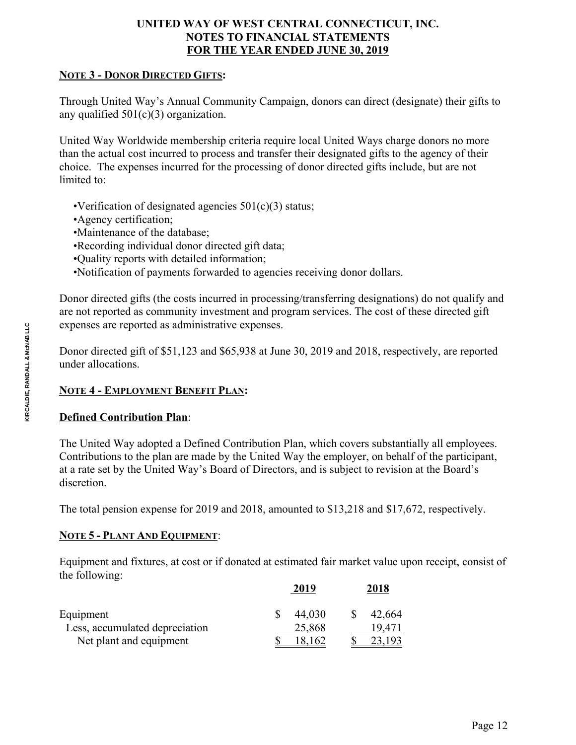#### **NOTE 3 - DONOR DIRECTED GIFTS:**

Through United Way's Annual Community Campaign, donors can direct (designate) their gifts to any qualified  $501(c)(3)$  organization.

United Way Worldwide membership criteria require local United Ways charge donors no more than the actual cost incurred to process and transfer their designated gifts to the agency of their choice. The expenses incurred for the processing of donor directed gifts include, but are not limited to:

- •Verification of designated agencies 501(c)(3) status;
- •Agency certification;
- •Maintenance of the database;
- •Recording individual donor directed gift data;
- •Quality reports with detailed information;
- •Notification of payments forwarded to agencies receiving donor dollars.

Donor directed gifts (the costs incurred in processing/transferring designations) do not qualify and are not reported as community investment and program services. The cost of these directed gift expenses are reported as administrative expenses.

Donor directed gift of \$51,123 and \$65,938 at June 30, 2019 and 2018, respectively, are reported under allocations.

# **NOTE 4 - EMPLOYMENT BENEFIT PLAN:**

# **Defined Contribution Plan**:

The United Way adopted a Defined Contribution Plan, which covers substantially all employees. Contributions to the plan are made by the United Way the employer, on behalf of the participant, at a rate set by the United Way's Board of Directors, and is subject to revision at the Board's discretion.

The total pension expense for 2019 and 2018, amounted to \$13,218 and \$17,672, respectively.

# **NOTE 5 - PLANT AND EQUIPMENT**:

Equipment and fixtures, at cost or if donated at estimated fair market value upon receipt, consist of the following:

|                                | 2019   | 2018   |  |  |
|--------------------------------|--------|--------|--|--|
| Equipment                      | 44,030 | 42,664 |  |  |
| Less, accumulated depreciation | 25,868 |        |  |  |
| Net plant and equipment        | .162   |        |  |  |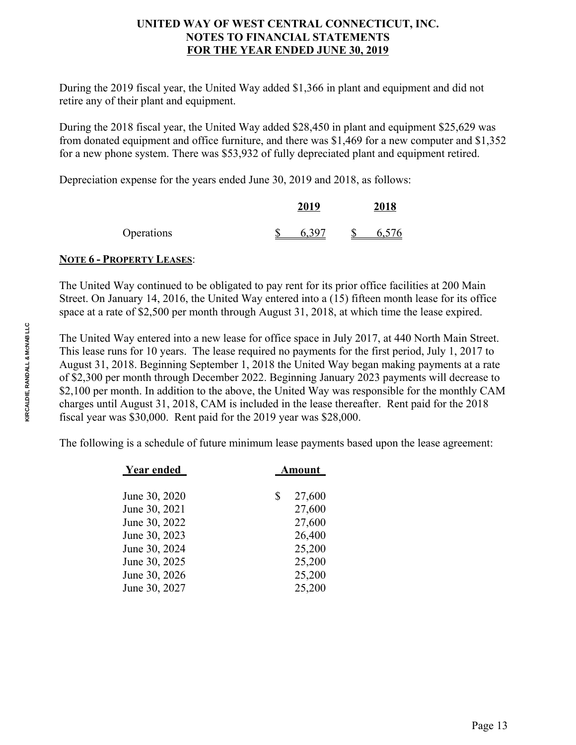During the 2019 fiscal year, the United Way added \$1,366 in plant and equipment and did not retire any of their plant and equipment.

During the 2018 fiscal year, the United Way added \$28,450 in plant and equipment \$25,629 was from donated equipment and office furniture, and there was \$1,469 for a new computer and \$1,352 for a new phone system. There was \$53,932 of fully depreciated plant and equipment retired.

Depreciation expense for the years ended June 30, 2019 and 2018, as follows:

|            | 2019 |        | <u>2018</u> |
|------------|------|--------|-------------|
| Operations | 6397 | œ<br>D | 6,576       |

#### **NOTE 6 - PROPERTY LEASES**:

The United Way continued to be obligated to pay rent for its prior office facilities at 200 Main Street. On January 14, 2016, the United Way entered into a (15) fifteen month lease for its office space at a rate of \$2,500 per month through August 31, 2018, at which time the lease expired.

The United Way entered into a new lease for office space in July 2017, at 440 North Main Street. This lease runs for 10 years. The lease required no payments for the first period, July 1, 2017 to August 31, 2018. Beginning September 1, 2018 the United Way began making payments at a rate of \$2,300 per month through December 2022. Beginning January 2023 payments will decrease to \$2,100 per month. In addition to the above, the United Way was responsible for the monthly CAM charges until August 31, 2018, CAM is included in the lease thereafter. Rent paid for the 2018 fiscal year was \$30,000. Rent paid for the 2019 year was \$28,000.

The following is a schedule of future minimum lease payments based upon the lease agreement:

| <b>Year ended</b> | Amount       |
|-------------------|--------------|
| June 30, 2020     | 27,600<br>\$ |
| June 30, 2021     | 27,600       |
| June 30, 2022     | 27,600       |
| June 30, 2023     | 26,400       |
| June 30, 2024     | 25,200       |
| June 30, 2025     | 25,200       |
| June 30, 2026     | 25,200       |
| June 30, 2027     | 25,200       |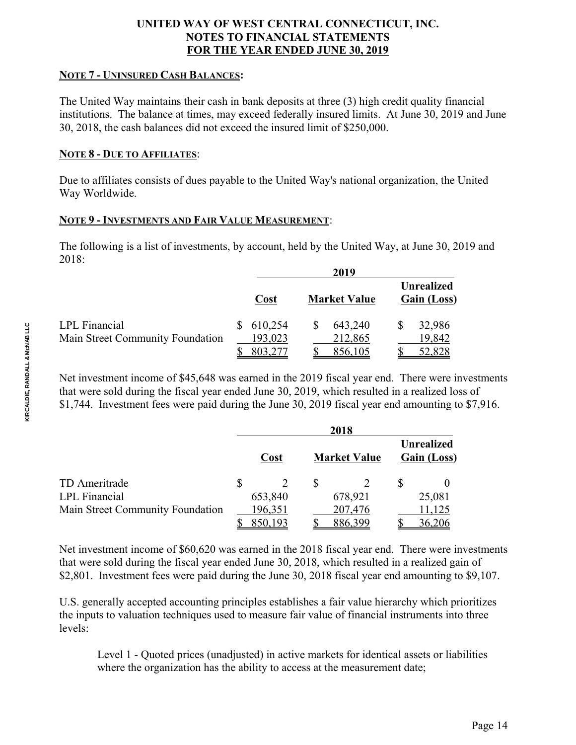#### **NOTE 7 - UNINSURED CASH BALANCES:**

The United Way maintains their cash in bank deposits at three (3) high credit quality financial institutions. The balance at times, may exceed federally insured limits. At June 30, 2019 and June 30, 2018, the cash balances did not exceed the insured limit of \$250,000.

#### **NOTE 8 - DUE TO AFFILIATES**:

Due to affiliates consists of dues payable to the United Way's national organization, the United Way Worldwide.

#### **NOTE 9 - INVESTMENTS AND FAIR VALUE MEASUREMENT**:

The following is a list of investments, by account, held by the United Way, at June 30, 2019 and 2018:

|                                                   |    |                    | 2019                     |                                  |
|---------------------------------------------------|----|--------------------|--------------------------|----------------------------------|
|                                                   |    | Cost               | <b>Market Value</b>      | <b>Unrealized</b><br>Gain (Loss) |
| LPL Financial<br>Main Street Community Foundation | S. | 610,254<br>193,023 | \$<br>643,240<br>212,865 | 32,986<br>19,842                 |
|                                                   |    | 803,277            | 856,105                  | 52,828                           |

Net investment income of \$45,648 was earned in the 2019 fiscal year end. There were investments that were sold during the fiscal year ended June 30, 2019, which resulted in a realized loss of \$1,744. Investment fees were paid during the June 30, 2019 fiscal year end amounting to \$7,916.

|                                  |  | Cost    | <b>Market Value</b> |  | <b>Unrealized</b><br>Gain (Loss) |
|----------------------------------|--|---------|---------------------|--|----------------------------------|
| TD Ameritrade                    |  |         |                     |  |                                  |
| LPL Financial                    |  | 653,840 | 678,921             |  | 25,081                           |
| Main Street Community Foundation |  | 196,351 | 207,476             |  | <u>11,125</u>                    |
|                                  |  | 850,193 | 886,399             |  | 36,206                           |

Net investment income of \$60,620 was earned in the 2018 fiscal year end. There were investments that were sold during the fiscal year ended June 30, 2018, which resulted in a realized gain of \$2,801. Investment fees were paid during the June 30, 2018 fiscal year end amounting to \$9,107.

U.S. generally accepted accounting principles establishes a fair value hierarchy which prioritizes the inputs to valuation techniques used to measure fair value of financial instruments into three levels:

Level 1 - Quoted prices (unadjusted) in active markets for identical assets or liabilities where the organization has the ability to access at the measurement date;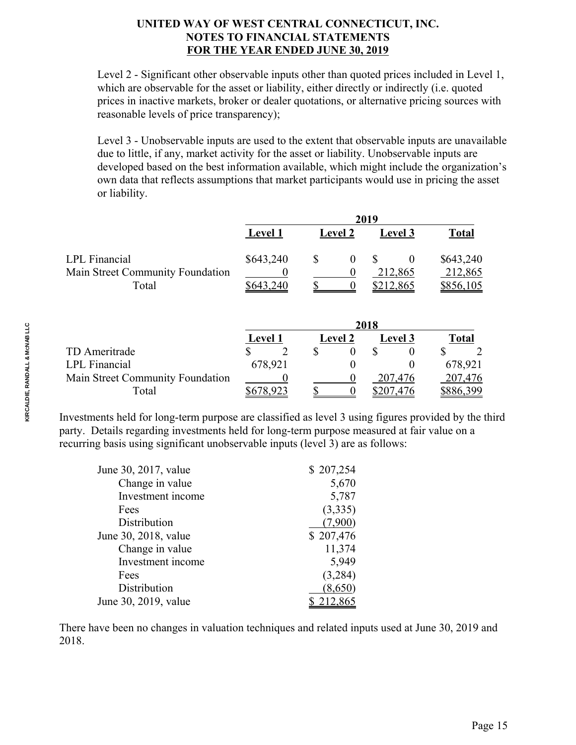Level 2 - Significant other observable inputs other than quoted prices included in Level 1, which are observable for the asset or liability, either directly or indirectly (i.e. quoted prices in inactive markets, broker or dealer quotations, or alternative pricing sources with reasonable levels of price transparency);

Level 3 - Unobservable inputs are used to the extent that observable inputs are unavailable due to little, if any, market activity for the asset or liability. Unobservable inputs are developed based on the best information available, which might include the organization's own data that reflects assumptions that market participants would use in pricing the asset or liability.

|                                         | 2019      |  |                |  |           |              |  |
|-----------------------------------------|-----------|--|----------------|--|-----------|--------------|--|
|                                         | Level 1   |  | <b>Level 2</b> |  | Level 3   | <b>Total</b> |  |
| LPL Financial                           | \$643,240 |  |                |  |           | \$643,240    |  |
| <b>Main Street Community Foundation</b> |           |  |                |  | 212,865   | 212,865      |  |
| Total                                   | \$643,240 |  |                |  | \$212,865 | \$856,105    |  |

|                                         | 2018    |         |  |                |  |           |  |              |
|-----------------------------------------|---------|---------|--|----------------|--|-----------|--|--------------|
|                                         | Level 1 |         |  | <b>Level 2</b> |  | Level 3   |  | <b>Total</b> |
| TD Ameritrade                           |         |         |  |                |  |           |  |              |
| LPL Financial                           |         | 678,921 |  |                |  |           |  | 678,921      |
| <b>Main Street Community Foundation</b> |         |         |  |                |  | 207.476   |  | 207,476      |
| Total                                   |         |         |  |                |  | \$207.476 |  | \$886,399    |

Investments held for long-term purpose are classified as level 3 using figures provided by the third party. Details regarding investments held for long-term purpose measured at fair value on a recurring basis using significant unobservable inputs (level 3) are as follows:

| June 30, 2017, value | \$207,254 |
|----------------------|-----------|
| Change in value      | 5,670     |
| Investment income    | 5,787     |
| Fees                 | (3,335)   |
| Distribution         | (7,900)   |
| June 30, 2018, value | \$207,476 |
| Change in value      | 11,374    |
| Investment income    | 5,949     |
| Fees                 | (3,284)   |
| Distribution         | (8,650)   |
| June 30, 2019, value | 212,865   |

There have been no changes in valuation techniques and related inputs used at June 30, 2019 and 2018.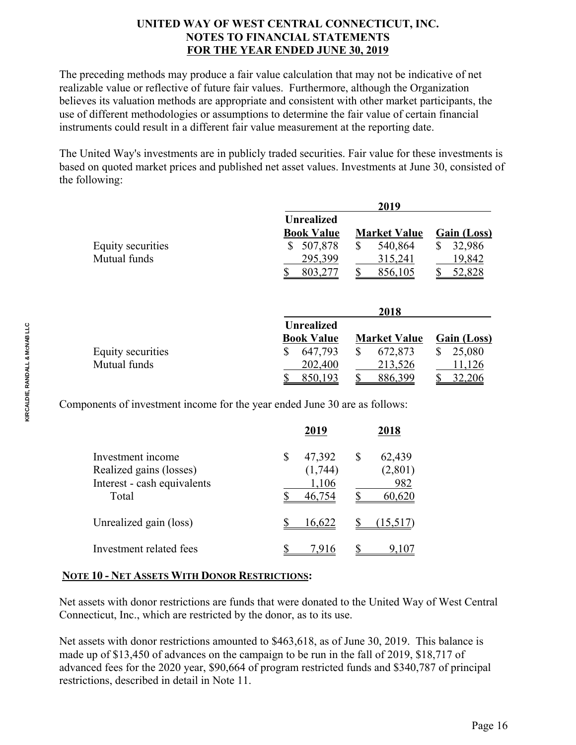The preceding methods may produce a fair value calculation that may not be indicative of net realizable value or reflective of future fair values. Furthermore, although the Organization believes its valuation methods are appropriate and consistent with other market participants, the use of different methodologies or assumptions to determine the fair value of certain financial instruments could result in a different fair value measurement at the reporting date.

The United Way's investments are in publicly traded securities. Fair value for these investments is based on quoted market prices and published net asset values. Investments at June 30, consisted of the following:

|                   |                   | 2019                |              |
|-------------------|-------------------|---------------------|--------------|
|                   | <b>Unrealized</b> |                     |              |
|                   | <b>Book Value</b> | <b>Market Value</b> | Gain (Loss)  |
| Equity securities | 507,878<br>\$     | \$<br>540,864       | \$<br>32,986 |
| Mutual funds      | 295,399           | 315,241             | 19,842       |
|                   | 803,277           | 856,105             | 52,828       |
|                   |                   | 2018                |              |
|                   | <b>Unrealized</b> |                     |              |
|                   | <b>Book Value</b> | <b>Market Value</b> | Gain (Loss)  |
| Equity securities | \$<br>647,793     | \$<br>672,873       | \$<br>25,080 |
| Mutual funds      | 202,400           | 213,526             | 11,126       |
|                   | 850,193           | 886,399             | 32           |

Components of investment income for the year ended June 30 are as follows:

|                                                                                      | 2019                                       | 2018                                     |
|--------------------------------------------------------------------------------------|--------------------------------------------|------------------------------------------|
| Investment income<br>Realized gains (losses)<br>Interest - cash equivalents<br>Total | 47,392<br>\$<br>(1,744)<br>1,106<br>46,754 | 62,439<br>\$<br>(2,801)<br>982<br>60,620 |
| Unrealized gain (loss)                                                               | 16,622                                     | (15,517)                                 |
| Investment related fees                                                              |                                            |                                          |

#### **NOTE 10 - NET ASSETS WITH DONOR RESTRICTIONS:**

Net assets with donor restrictions are funds that were donated to the United Way of West Central Connecticut, Inc., which are restricted by the donor, as to its use.

Net assets with donor restrictions amounted to \$463,618, as of June 30, 2019. This balance is made up of \$13,450 of advances on the campaign to be run in the fall of 2019, \$18,717 of advanced fees for the 2020 year, \$90,664 of program restricted funds and \$340,787 of principal restrictions, described in detail in Note 11.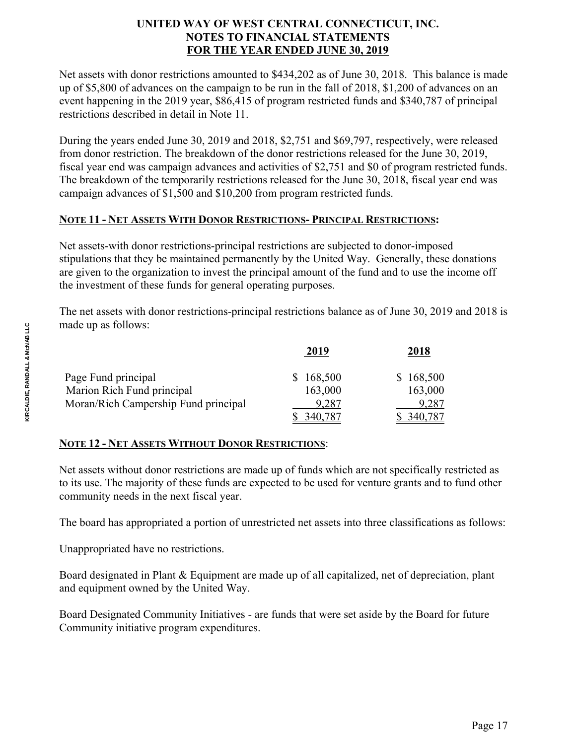Net assets with donor restrictions amounted to \$434,202 as of June 30, 2018. This balance is made up of \$5,800 of advances on the campaign to be run in the fall of 2018, \$1,200 of advances on an event happening in the 2019 year, \$86,415 of program restricted funds and \$340,787 of principal restrictions described in detail in Note 11.

During the years ended June 30, 2019 and 2018, \$2,751 and \$69,797, respectively, were released from donor restriction. The breakdown of the donor restrictions released for the June 30, 2019, fiscal year end was campaign advances and activities of \$2,751 and \$0 of program restricted funds. The breakdown of the temporarily restrictions released for the June 30, 2018, fiscal year end was campaign advances of \$1,500 and \$10,200 from program restricted funds.

#### **NOTE 11 - NET ASSETS WITH DONOR RESTRICTIONS- PRINCIPAL RESTRICTIONS:**

Net assets-with donor restrictions-principal restrictions are subjected to donor-imposed stipulations that they be maintained permanently by the United Way. Generally, these donations are given to the organization to invest the principal amount of the fund and to use the income off the investment of these funds for general operating purposes.

The net assets with donor restrictions-principal restrictions balance as of June 30, 2019 and 2018 is made up as follows:

|                                      | 2019      | 2018      |
|--------------------------------------|-----------|-----------|
| Page Fund principal                  | \$168,500 | \$168,500 |
| Marion Rich Fund principal           | 163,000   | 163,000   |
| Moran/Rich Campership Fund principal | 9,287     | 9,287     |
|                                      | 340 787   | 340.787   |

#### **NOTE 12 - NET ASSETS WITHOUT DONOR RESTRICTIONS**:

Net assets without donor restrictions are made up of funds which are not specifically restricted as to its use. The majority of these funds are expected to be used for venture grants and to fund other community needs in the next fiscal year.

The board has appropriated a portion of unrestricted net assets into three classifications as follows:

Unappropriated have no restrictions.

Board designated in Plant & Equipment are made up of all capitalized, net of depreciation, plant and equipment owned by the United Way.

Board Designated Community Initiatives - are funds that were set aside by the Board for future Community initiative program expenditures.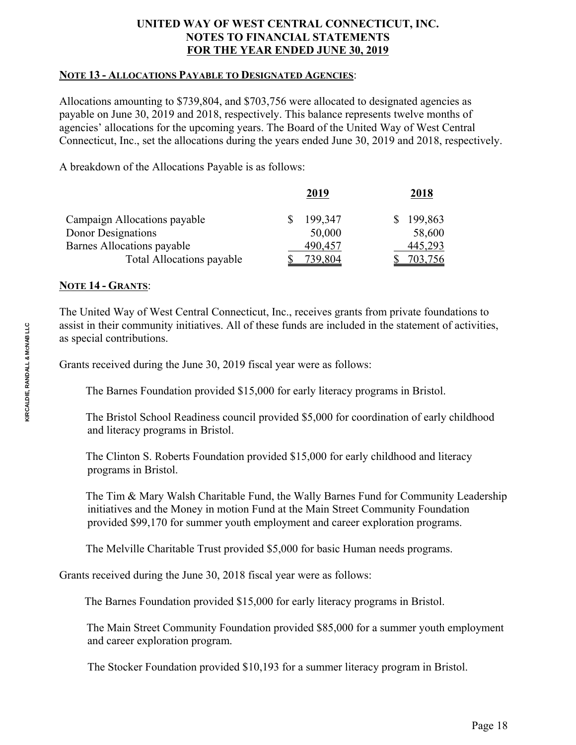#### **NOTE 13 - ALLOCATIONS PAYABLE TO DESIGNATED AGENCIES**:

Allocations amounting to \$739,804, and \$703,756 were allocated to designated agencies as payable on June 30, 2019 and 2018, respectively. This balance represents twelve months of agencies' allocations for the upcoming years. The Board of the United Way of West Central Connecticut, Inc., set the allocations during the years ended June 30, 2019 and 2018, respectively.

A breakdown of the Allocations Payable is as follows:

|                                  | 2019    | 2018    |
|----------------------------------|---------|---------|
| Campaign Allocations payable     | 199,347 | 199,863 |
| Donor Designations               | 50,000  | 58,600  |
| Barnes Allocations payable       | 490,457 | 445,293 |
| <b>Total Allocations payable</b> | 739.804 | 703,756 |

# **NOTE 14 - GRANTS**:

The United Way of West Central Connecticut, Inc., receives grants from private foundations to assist in their community initiatives. All of these funds are included in the statement of activities, as special contributions.

Grants received during the June 30, 2019 fiscal year were as follows:

The Barnes Foundation provided \$15,000 for early literacy programs in Bristol.

 The Bristol School Readiness council provided \$5,000 for coordination of early childhood and literacy programs in Bristol.

 The Clinton S. Roberts Foundation provided \$15,000 for early childhood and literacy programs in Bristol.

 The Tim & Mary Walsh Charitable Fund, the Wally Barnes Fund for Community Leadership initiatives and the Money in motion Fund at the Main Street Community Foundation provided \$99,170 for summer youth employment and career exploration programs.

The Melville Charitable Trust provided \$5,000 for basic Human needs programs.

Grants received during the June 30, 2018 fiscal year were as follows:

The Barnes Foundation provided \$15,000 for early literacy programs in Bristol.

 The Main Street Community Foundation provided \$85,000 for a summer youth employment and career exploration program.

The Stocker Foundation provided \$10,193 for a summer literacy program in Bristol.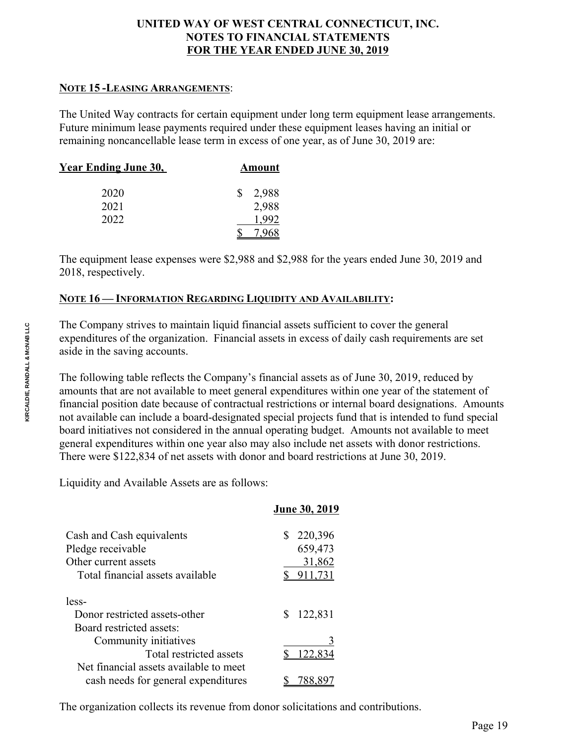#### **NOTE 15 -LEASING ARRANGEMENTS**:

The United Way contracts for certain equipment under long term equipment lease arrangements. Future minimum lease payments required under these equipment leases having an initial or remaining noncancellable lease term in excess of one year, as of June 30, 2019 are:

| <b>Year Ending June 30,</b> | Amount |
|-----------------------------|--------|
| 2020                        | 2,988  |
| 2021                        | 2,988  |
| 2022                        | -992   |
|                             |        |

The equipment lease expenses were \$2,988 and \$2,988 for the years ended June 30, 2019 and 2018, respectively.

#### **NOTE 16 — INFORMATION REGARDING LIQUIDITY AND AVAILABILITY:**

The Company strives to maintain liquid financial assets sufficient to cover the general expenditures of the organization. Financial assets in excess of daily cash requirements are set aside in the saving accounts.

The following table reflects the Company's financial assets as of June 30, 2019, reduced by amounts that are not available to meet general expenditures within one year of the statement of financial position date because of contractual restrictions or internal board designations. Amounts not available can include a board-designated special projects fund that is intended to fund special board initiatives not considered in the annual operating budget. Amounts not available to meet general expenditures within one year also may also include net assets with donor restrictions. There were \$122,834 of net assets with donor and board restrictions at June 30, 2019.

Liquidity and Available Assets are as follows:

|                                                                               | <b>June 30, 2019</b> |
|-------------------------------------------------------------------------------|----------------------|
| Cash and Cash equivalents                                                     | 220,396<br>S.        |
| Pledge receivable                                                             | 659,473              |
| Other current assets                                                          | 31,862               |
| Total financial assets available                                              | 911,731              |
| less-<br>Donor restricted assets-other<br>Board restricted assets:            | 122,831<br>S         |
| Community initiatives<br>Total restricted assets                              | 122.834              |
| Net financial assets available to meet<br>cash needs for general expenditures |                      |

The organization collects its revenue from donor solicitations and contributions.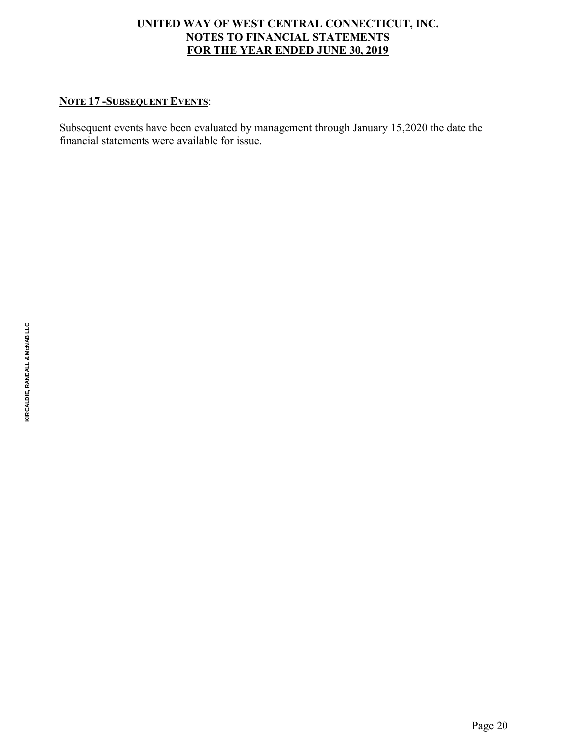# **NOTE 17 -SUBSEQUENT EVENTS**:

Subsequent events have been evaluated by management through January 15,2020 the date the financial statements were available for issue.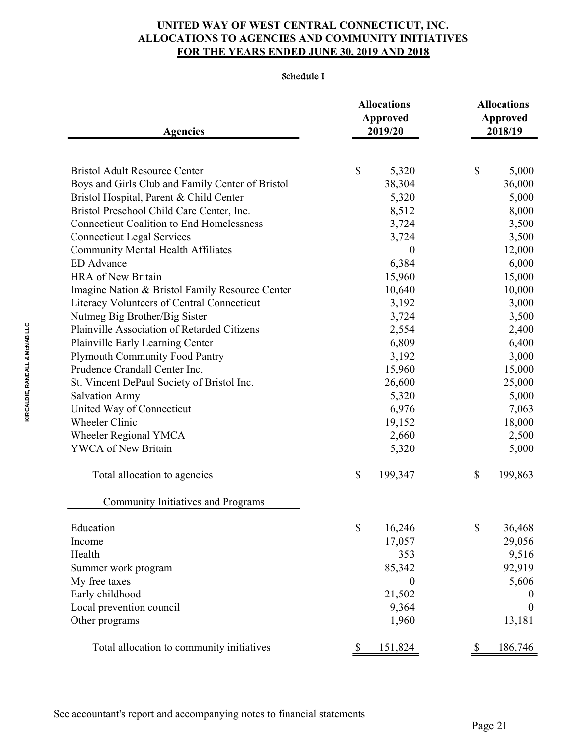#### **UNITED WAY OF WEST CENTRAL CONNECTICUT, INC. ALLOCATIONS TO AGENCIES AND COMMUNITY INITIATIVES FOR THE YEARS ENDED JUNE 30, 2019 AND 2018**

#### Schedule I

| <b>Agencies</b>                                  | <b>Allocations</b><br><b>Approved</b><br>2019/20 | <b>Allocations</b><br><b>Approved</b><br>2018/19 |  |  |
|--------------------------------------------------|--------------------------------------------------|--------------------------------------------------|--|--|
|                                                  |                                                  |                                                  |  |  |
| <b>Bristol Adult Resource Center</b>             | \$<br>5,320                                      | \$<br>5,000                                      |  |  |
| Boys and Girls Club and Family Center of Bristol | 38,304                                           | 36,000                                           |  |  |
| Bristol Hospital, Parent & Child Center          | 5,320                                            | 5,000                                            |  |  |
| Bristol Preschool Child Care Center, Inc.        | 8,512                                            | 8,000                                            |  |  |
| <b>Connecticut Coalition to End Homelessness</b> | 3,724                                            | 3,500                                            |  |  |
| <b>Connecticut Legal Services</b>                | 3,724                                            | 3,500                                            |  |  |
| <b>Community Mental Health Affiliates</b>        | $\theta$                                         | 12,000                                           |  |  |
| <b>ED</b> Advance                                | 6,384                                            | 6,000                                            |  |  |
| <b>HRA</b> of New Britain                        | 15,960                                           | 15,000                                           |  |  |
| Imagine Nation & Bristol Family Resource Center  | 10,640                                           | 10,000                                           |  |  |
| Literacy Volunteers of Central Connecticut       | 3,192                                            | 3,000                                            |  |  |
| Nutmeg Big Brother/Big Sister                    | 3,724                                            | 3,500                                            |  |  |
| Plainville Association of Retarded Citizens      | 2,554                                            | 2,400                                            |  |  |
| Plainville Early Learning Center                 | 6,809                                            | 6,400                                            |  |  |
| <b>Plymouth Community Food Pantry</b>            | 3,192                                            | 3,000                                            |  |  |
| Prudence Crandall Center Inc.                    | 15,960                                           | 15,000                                           |  |  |
| St. Vincent DePaul Society of Bristol Inc.       | 26,600                                           | 25,000                                           |  |  |
| <b>Salvation Army</b>                            | 5,320                                            | 5,000                                            |  |  |
| United Way of Connecticut                        | 6,976                                            | 7,063                                            |  |  |
| <b>Wheeler Clinic</b>                            | 19,152                                           | 18,000                                           |  |  |
| Wheeler Regional YMCA                            | 2,660                                            | 2,500                                            |  |  |
| YWCA of New Britain                              | 5,320                                            | 5,000                                            |  |  |
| Total allocation to agencies                     | 199,347<br>\$                                    | 199,863<br>\$                                    |  |  |
| <b>Community Initiatives and Programs</b>        |                                                  |                                                  |  |  |
| Education                                        | \$<br>16,246                                     | \$                                               |  |  |
|                                                  |                                                  | 36,468                                           |  |  |
| Income<br>Health                                 | 17,057<br>353                                    | 29,056<br>9,516                                  |  |  |
|                                                  | 85,342                                           |                                                  |  |  |
| Summer work program                              |                                                  | 92,919                                           |  |  |
| My free taxes                                    | $\theta$                                         | 5,606                                            |  |  |
| Early childhood                                  | 21,502                                           | $\theta$                                         |  |  |
| Local prevention council                         | 9,364                                            | $\boldsymbol{0}$                                 |  |  |
| Other programs                                   | 1,960                                            | 13,181                                           |  |  |
| Total allocation to community initiatives        | 151,824<br>$\boldsymbol{\mathsf{S}}$             | 186,746<br>$\mathbb{S}$                          |  |  |